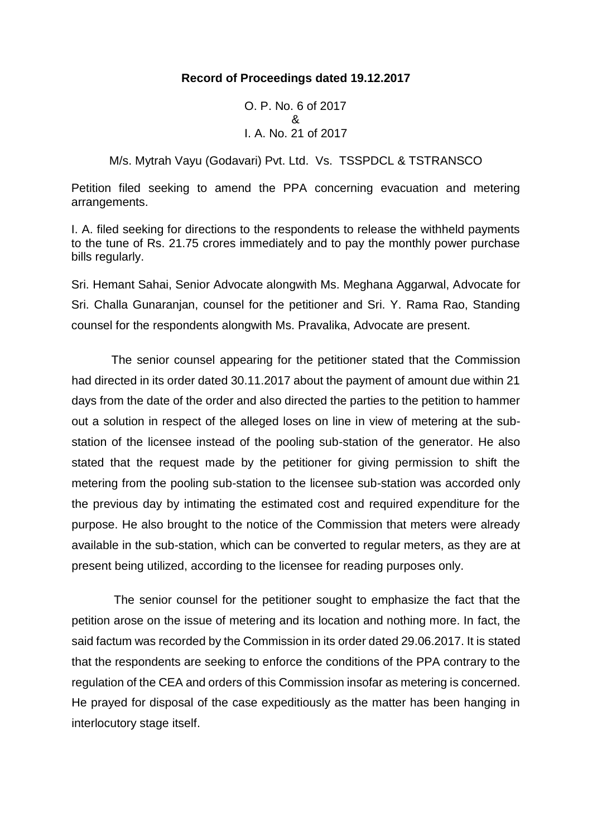### **Record of Proceedings dated 19.12.2017**

O. P. No. 6 of 2017 & I. A. No. 21 of 2017

M/s. Mytrah Vayu (Godavari) Pvt. Ltd. Vs. TSSPDCL & TSTRANSCO

Petition filed seeking to amend the PPA concerning evacuation and metering arrangements.

I. A. filed seeking for directions to the respondents to release the withheld payments to the tune of Rs. 21.75 crores immediately and to pay the monthly power purchase bills regularly.

Sri. Hemant Sahai, Senior Advocate alongwith Ms. Meghana Aggarwal, Advocate for Sri. Challa Gunaranjan, counsel for the petitioner and Sri. Y. Rama Rao, Standing counsel for the respondents alongwith Ms. Pravalika, Advocate are present.

 The senior counsel appearing for the petitioner stated that the Commission had directed in its order dated 30.11.2017 about the payment of amount due within 21 days from the date of the order and also directed the parties to the petition to hammer out a solution in respect of the alleged loses on line in view of metering at the substation of the licensee instead of the pooling sub-station of the generator. He also stated that the request made by the petitioner for giving permission to shift the metering from the pooling sub-station to the licensee sub-station was accorded only the previous day by intimating the estimated cost and required expenditure for the purpose. He also brought to the notice of the Commission that meters were already available in the sub-station, which can be converted to regular meters, as they are at present being utilized, according to the licensee for reading purposes only.

The senior counsel for the petitioner sought to emphasize the fact that the petition arose on the issue of metering and its location and nothing more. In fact, the said factum was recorded by the Commission in its order dated 29.06.2017. It is stated that the respondents are seeking to enforce the conditions of the PPA contrary to the regulation of the CEA and orders of this Commission insofar as metering is concerned. He prayed for disposal of the case expeditiously as the matter has been hanging in interlocutory stage itself.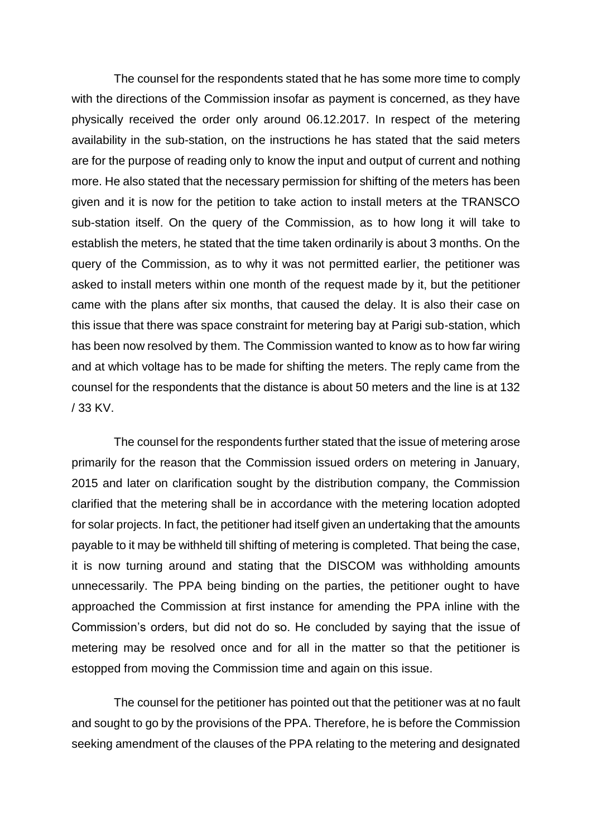The counsel for the respondents stated that he has some more time to comply with the directions of the Commission insofar as payment is concerned, as they have physically received the order only around 06.12.2017. In respect of the metering availability in the sub-station, on the instructions he has stated that the said meters are for the purpose of reading only to know the input and output of current and nothing more. He also stated that the necessary permission for shifting of the meters has been given and it is now for the petition to take action to install meters at the TRANSCO sub-station itself. On the query of the Commission, as to how long it will take to establish the meters, he stated that the time taken ordinarily is about 3 months. On the query of the Commission, as to why it was not permitted earlier, the petitioner was asked to install meters within one month of the request made by it, but the petitioner came with the plans after six months, that caused the delay. It is also their case on this issue that there was space constraint for metering bay at Parigi sub-station, which has been now resolved by them. The Commission wanted to know as to how far wiring and at which voltage has to be made for shifting the meters. The reply came from the counsel for the respondents that the distance is about 50 meters and the line is at 132 / 33 KV.

The counsel for the respondents further stated that the issue of metering arose primarily for the reason that the Commission issued orders on metering in January, 2015 and later on clarification sought by the distribution company, the Commission clarified that the metering shall be in accordance with the metering location adopted for solar projects. In fact, the petitioner had itself given an undertaking that the amounts payable to it may be withheld till shifting of metering is completed. That being the case, it is now turning around and stating that the DISCOM was withholding amounts unnecessarily. The PPA being binding on the parties, the petitioner ought to have approached the Commission at first instance for amending the PPA inline with the Commission's orders, but did not do so. He concluded by saying that the issue of metering may be resolved once and for all in the matter so that the petitioner is estopped from moving the Commission time and again on this issue.

The counsel for the petitioner has pointed out that the petitioner was at no fault and sought to go by the provisions of the PPA. Therefore, he is before the Commission seeking amendment of the clauses of the PPA relating to the metering and designated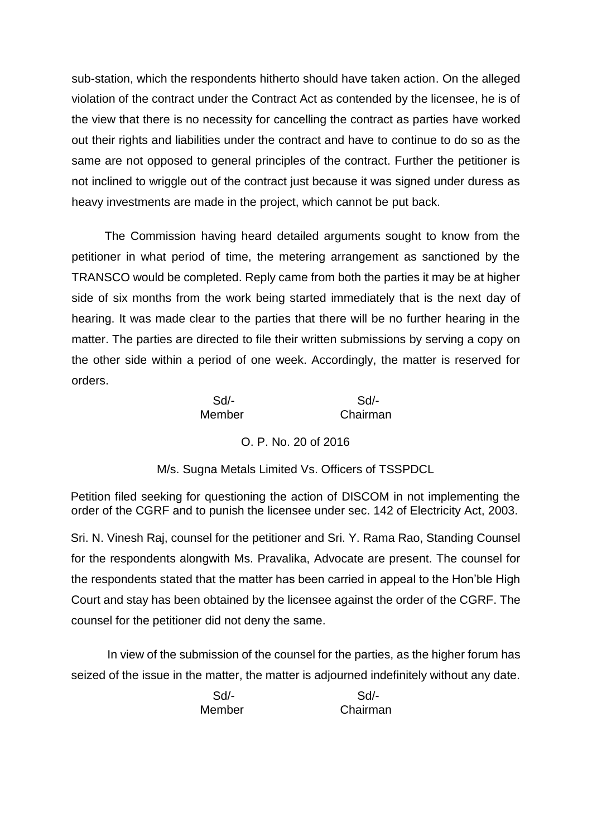sub-station, which the respondents hitherto should have taken action. On the alleged violation of the contract under the Contract Act as contended by the licensee, he is of the view that there is no necessity for cancelling the contract as parties have worked out their rights and liabilities under the contract and have to continue to do so as the same are not opposed to general principles of the contract. Further the petitioner is not inclined to wriggle out of the contract just because it was signed under duress as heavy investments are made in the project, which cannot be put back.

 The Commission having heard detailed arguments sought to know from the petitioner in what period of time, the metering arrangement as sanctioned by the TRANSCO would be completed. Reply came from both the parties it may be at higher side of six months from the work being started immediately that is the next day of hearing. It was made clear to the parties that there will be no further hearing in the matter. The parties are directed to file their written submissions by serving a copy on the other side within a period of one week. Accordingly, the matter is reserved for orders.

### Sd/- Sd/- Member Chairman

# O. P. No. 20 of 2016

M/s. Sugna Metals Limited Vs. Officers of TSSPDCL

Petition filed seeking for questioning the action of DISCOM in not implementing the order of the CGRF and to punish the licensee under sec. 142 of Electricity Act, 2003.

Sri. N. Vinesh Raj, counsel for the petitioner and Sri. Y. Rama Rao, Standing Counsel for the respondents alongwith Ms. Pravalika, Advocate are present. The counsel for the respondents stated that the matter has been carried in appeal to the Hon'ble High Court and stay has been obtained by the licensee against the order of the CGRF. The counsel for the petitioner did not deny the same.

In view of the submission of the counsel for the parties, as the higher forum has seized of the issue in the matter, the matter is adjourned indefinitely without any date.

Sd/- Sd/- Member Chairman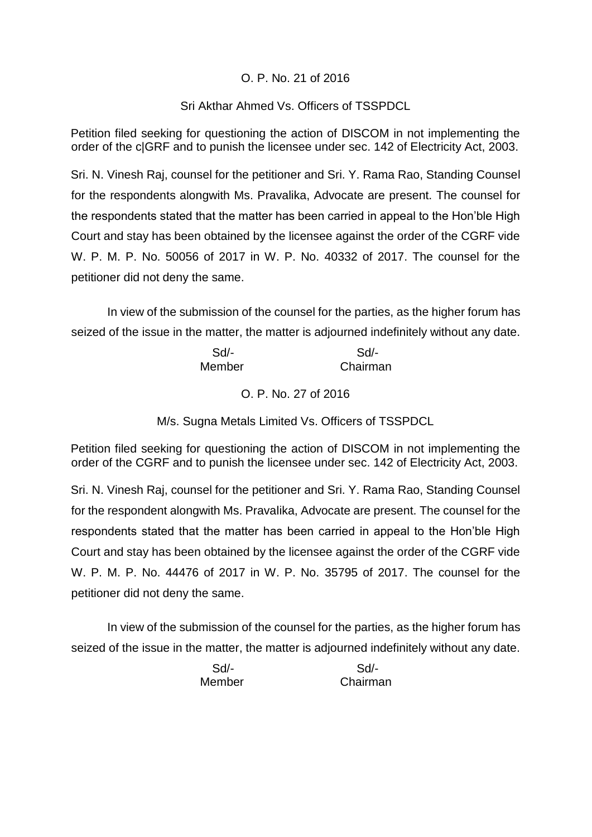# O. P. No. 21 of 2016

# Sri Akthar Ahmed Vs. Officers of TSSPDCL

Petition filed seeking for questioning the action of DISCOM in not implementing the order of the c|GRF and to punish the licensee under sec. 142 of Electricity Act, 2003.

Sri. N. Vinesh Raj, counsel for the petitioner and Sri. Y. Rama Rao, Standing Counsel for the respondents alongwith Ms. Pravalika, Advocate are present. The counsel for the respondents stated that the matter has been carried in appeal to the Hon'ble High Court and stay has been obtained by the licensee against the order of the CGRF vide W. P. M. P. No. 50056 of 2017 in W. P. No. 40332 of 2017. The counsel for the petitioner did not deny the same.

In view of the submission of the counsel for the parties, as the higher forum has seized of the issue in the matter, the matter is adjourned indefinitely without any date.

| Sd     | Sd       |
|--------|----------|
| Member | Chairman |

O. P. No. 27 of 2016

M/s. Sugna Metals Limited Vs. Officers of TSSPDCL

Petition filed seeking for questioning the action of DISCOM in not implementing the order of the CGRF and to punish the licensee under sec. 142 of Electricity Act, 2003.

Sri. N. Vinesh Raj, counsel for the petitioner and Sri. Y. Rama Rao, Standing Counsel for the respondent alongwith Ms. Pravalika, Advocate are present. The counsel for the respondents stated that the matter has been carried in appeal to the Hon'ble High Court and stay has been obtained by the licensee against the order of the CGRF vide W. P. M. P. No. 44476 of 2017 in W. P. No. 35795 of 2017. The counsel for the petitioner did not deny the same.

In view of the submission of the counsel for the parties, as the higher forum has seized of the issue in the matter, the matter is adjourned indefinitely without any date.

> Sd/- Sd/- Member Chairman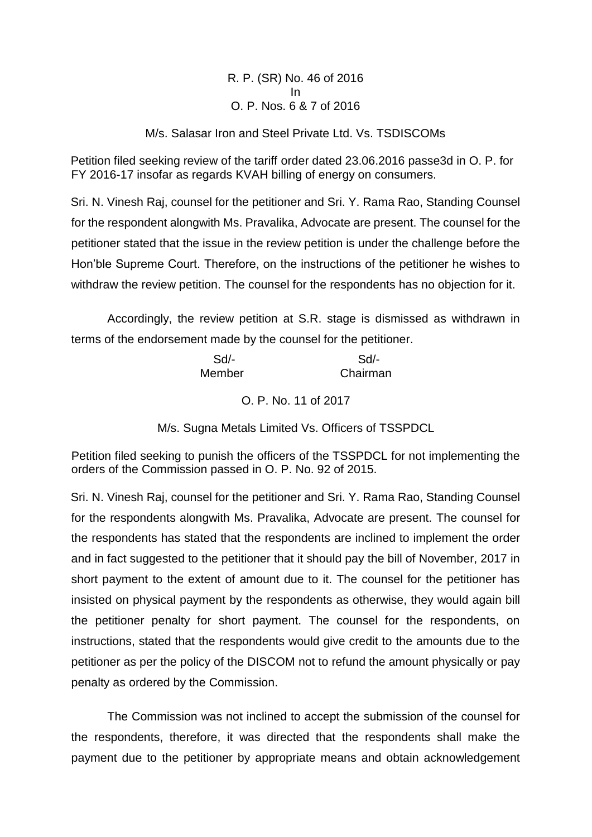R. P. (SR) No. 46 of 2016 In O. P. Nos. 6 & 7 of 2016

M/s. Salasar Iron and Steel Private Ltd. Vs. TSDISCOMs

Petition filed seeking review of the tariff order dated 23.06.2016 passe3d in O. P. for FY 2016-17 insofar as regards KVAH billing of energy on consumers.

Sri. N. Vinesh Raj, counsel for the petitioner and Sri. Y. Rama Rao, Standing Counsel for the respondent alongwith Ms. Pravalika, Advocate are present. The counsel for the petitioner stated that the issue in the review petition is under the challenge before the Hon'ble Supreme Court. Therefore, on the instructions of the petitioner he wishes to withdraw the review petition. The counsel for the respondents has no objection for it.

Accordingly, the review petition at S.R. stage is dismissed as withdrawn in terms of the endorsement made by the counsel for the petitioner.

| Sd     | Sd/-     |
|--------|----------|
| Member | Chairman |

O. P. No. 11 of 2017

M/s. Sugna Metals Limited Vs. Officers of TSSPDCL

Petition filed seeking to punish the officers of the TSSPDCL for not implementing the orders of the Commission passed in O. P. No. 92 of 2015.

Sri. N. Vinesh Raj, counsel for the petitioner and Sri. Y. Rama Rao, Standing Counsel for the respondents alongwith Ms. Pravalika, Advocate are present. The counsel for the respondents has stated that the respondents are inclined to implement the order and in fact suggested to the petitioner that it should pay the bill of November, 2017 in short payment to the extent of amount due to it. The counsel for the petitioner has insisted on physical payment by the respondents as otherwise, they would again bill the petitioner penalty for short payment. The counsel for the respondents, on instructions, stated that the respondents would give credit to the amounts due to the petitioner as per the policy of the DISCOM not to refund the amount physically or pay penalty as ordered by the Commission.

The Commission was not inclined to accept the submission of the counsel for the respondents, therefore, it was directed that the respondents shall make the payment due to the petitioner by appropriate means and obtain acknowledgement